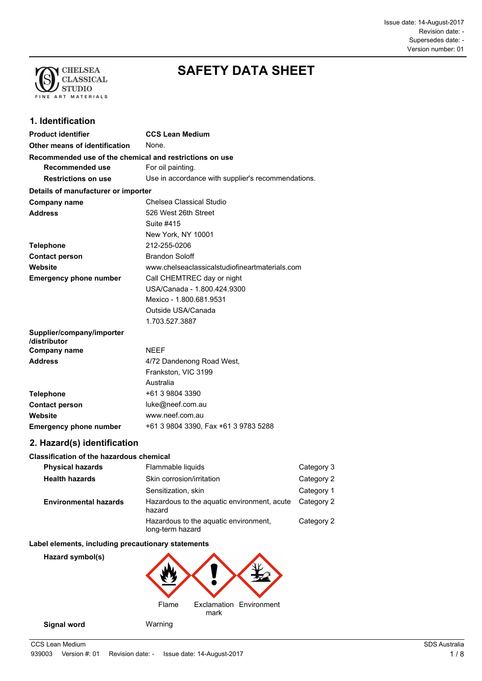Issue date: 14-August-2017 Supersedes date: - Revision date: - Version number: 01



# **SAFETY DATA SHEET**

# **1. Identification**

| <b>Product identifier</b>                               | <b>CCS Lean Medium</b>                             |
|---------------------------------------------------------|----------------------------------------------------|
| Other means of identification                           | None.                                              |
| Recommended use of the chemical and restrictions on use |                                                    |
| Recommended use                                         | For oil painting.                                  |
| <b>Restrictions on use</b>                              | Use in accordance with supplier's recommendations. |
| Details of manufacturer or importer                     |                                                    |
| Company name                                            | Chelsea Classical Studio                           |
| <b>Address</b>                                          | 526 West 26th Street                               |
|                                                         | Suite #415                                         |
|                                                         | New York, NY 10001                                 |
| <b>Telephone</b>                                        | 212-255-0206                                       |
| <b>Contact person</b>                                   | <b>Brandon Soloff</b>                              |
| Website                                                 | www.chelseaclassicalstudiofineartmaterials.com     |
| <b>Emergency phone number</b>                           | Call CHEMTREC day or night                         |
|                                                         | USA/Canada - 1.800.424.9300                        |
|                                                         | Mexico - 1.800.681.9531                            |
|                                                         | Outside USA/Canada                                 |
|                                                         | 1.703.527.3887                                     |
| Supplier/company/importer<br>/distributor               |                                                    |
| <b>Company name</b>                                     | <b>NEEF</b>                                        |
| <b>Address</b>                                          | 4/72 Dandenong Road West,                          |
|                                                         | Frankston, VIC 3199                                |
|                                                         | Australia                                          |
| <b>Telephone</b>                                        | +61 3 9804 3390                                    |
| <b>Contact person</b>                                   | luke@neef.com.au                                   |
| Website                                                 | www.neef.com.au                                    |
| <b>Emergency phone number</b>                           | +61 3 9804 3390, Fax +61 3 9783 5288               |

# **2. Hazard(s) identification**

#### **Classification of the hazardous chemical**

| <b>Physical hazards</b>      | Flammable liquids                                         | Category 3 |
|------------------------------|-----------------------------------------------------------|------------|
| <b>Health hazards</b>        | Skin corrosion/irritation                                 | Category 2 |
|                              | Sensitization, skin                                       | Category 1 |
| <b>Environmental hazards</b> | Hazardous to the aquatic environment, acute<br>hazard     | Category 2 |
|                              | Hazardous to the aquatic environment,<br>long-term hazard | Category 2 |

#### **Label elements, including precautionary statements**

**Hazard symbol(s)**

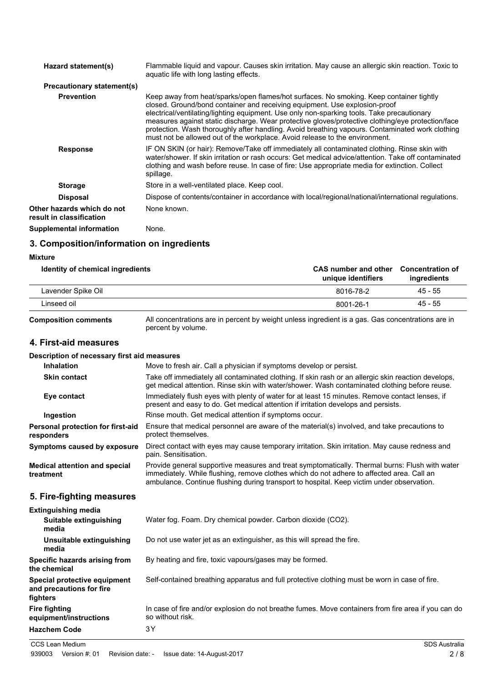| Hazard statement(s)                                    | Flammable liquid and vapour. Causes skin irritation. May cause an allergic skin reaction. Toxic to<br>aquatic life with long lasting effects.                                                                                                                                                                                                                                                                                                                                                                                                              |
|--------------------------------------------------------|------------------------------------------------------------------------------------------------------------------------------------------------------------------------------------------------------------------------------------------------------------------------------------------------------------------------------------------------------------------------------------------------------------------------------------------------------------------------------------------------------------------------------------------------------------|
| <b>Precautionary statement(s)</b>                      |                                                                                                                                                                                                                                                                                                                                                                                                                                                                                                                                                            |
| <b>Prevention</b>                                      | Keep away from heat/sparks/open flames/hot surfaces. No smoking. Keep container tightly<br>closed. Ground/bond container and receiving equipment. Use explosion-proof<br>electrical/ventilating/lighting equipment. Use only non-sparking tools. Take precautionary<br>measures against static discharge. Wear protective gloves/protective clothing/eye protection/face<br>protection. Wash thoroughly after handling. Avoid breathing vapours. Contaminated work clothing<br>must not be allowed out of the workplace. Avoid release to the environment. |
| <b>Response</b>                                        | IF ON SKIN (or hair): Remove/Take off immediately all contaminated clothing. Rinse skin with<br>water/shower. If skin irritation or rash occurs: Get medical advice/attention. Take off contaminated<br>clothing and wash before reuse. In case of fire: Use appropriate media for extinction. Collect<br>spillage.                                                                                                                                                                                                                                        |
| <b>Storage</b>                                         | Store in a well-ventilated place. Keep cool.                                                                                                                                                                                                                                                                                                                                                                                                                                                                                                               |
| <b>Disposal</b>                                        | Dispose of contents/container in accordance with local/regional/national/international regulations.                                                                                                                                                                                                                                                                                                                                                                                                                                                        |
| Other hazards which do not<br>result in classification | None known.                                                                                                                                                                                                                                                                                                                                                                                                                                                                                                                                                |
| Supplemental information                               | None.                                                                                                                                                                                                                                                                                                                                                                                                                                                                                                                                                      |

# **3. Composition/information on ingredients**

#### **Mixture**

| Identity of chemical ingredients | <b>CAS</b> number and other<br>unique identifiers | <b>Concentration of</b><br>ingredients |
|----------------------------------|---------------------------------------------------|----------------------------------------|
| Lavender Spike Oil               | 8016-78-2                                         | 45 - 55                                |
| Linseed oil                      | 8001-26-1                                         | 45 - 55                                |
|                                  |                                                   |                                        |

**Composition comments**

All concentrations are in percent by weight unless ingredient is a gas. Gas concentrations are in percent by volume.

# **4. First-aid measures**

#### **Description of necessary first aid measures**

| <b>Inhalation</b>                                                    | Move to fresh air. Call a physician if symptoms develop or persist.                                                                                                                                                                                                                      |
|----------------------------------------------------------------------|------------------------------------------------------------------------------------------------------------------------------------------------------------------------------------------------------------------------------------------------------------------------------------------|
| <b>Skin contact</b>                                                  | Take off immediately all contaminated clothing. If skin rash or an allergic skin reaction develops,<br>get medical attention. Rinse skin with water/shower. Wash contaminated clothing before reuse.                                                                                     |
| Eye contact                                                          | Immediately flush eyes with plenty of water for at least 15 minutes. Remove contact lenses, if<br>present and easy to do. Get medical attention if irritation develops and persists.                                                                                                     |
| Ingestion                                                            | Rinse mouth. Get medical attention if symptoms occur.                                                                                                                                                                                                                                    |
| <b>Personal protection for first-aid</b><br>responders               | Ensure that medical personnel are aware of the material(s) involved, and take precautions to<br>protect themselves.                                                                                                                                                                      |
| <b>Symptoms caused by exposure</b>                                   | Direct contact with eyes may cause temporary irritation. Skin irritation. May cause redness and<br>pain. Sensitisation.                                                                                                                                                                  |
| <b>Medical attention and special</b><br>treatment                    | Provide general supportive measures and treat symptomatically. Thermal burns: Flush with water<br>immediately. While flushing, remove clothes which do not adhere to affected area. Call an<br>ambulance. Continue flushing during transport to hospital. Keep victim under observation. |
| 5. Fire-fighting measures                                            |                                                                                                                                                                                                                                                                                          |
| <b>Extinguishing media</b>                                           |                                                                                                                                                                                                                                                                                          |
| Suitable extinguishing<br>media                                      | Water fog. Foam. Dry chemical powder. Carbon dioxide (CO2).                                                                                                                                                                                                                              |
| Unsuitable extinguishing<br>media                                    | Do not use water jet as an extinguisher, as this will spread the fire.                                                                                                                                                                                                                   |
| Specific hazards arising from<br>the chemical                        | By heating and fire, toxic vapours/gases may be formed.                                                                                                                                                                                                                                  |
| Special protective equipment<br>and precautions for fire<br>fighters | Self-contained breathing apparatus and full protective clothing must be worn in case of fire.                                                                                                                                                                                            |
| Fire fighting<br>equipment/instructions                              | In case of fire and/or explosion do not breathe fumes. Move containers from fire area if you can do<br>so without risk.                                                                                                                                                                  |
|                                                                      |                                                                                                                                                                                                                                                                                          |

**Hazchem Code** 3Y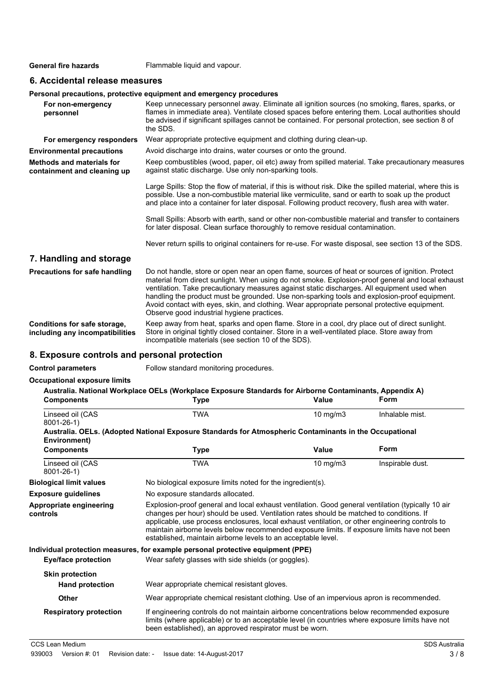General fire hazards Flammable liquid and vapour.

# **6. Accidental release measures**

#### **Personal precautions, protective equipment and emergency procedures**

| For non-emergency<br>personnel                                  | Keep unnecessary personnel away. Eliminate all ignition sources (no smoking, flares, sparks, or<br>flames in immediate area). Ventilate closed spaces before entering them. Local authorities should<br>be advised if significant spillages cannot be contained. For personal protection, see section 8 of<br>the SDS.                                                                                                                                                                                                                             |
|-----------------------------------------------------------------|----------------------------------------------------------------------------------------------------------------------------------------------------------------------------------------------------------------------------------------------------------------------------------------------------------------------------------------------------------------------------------------------------------------------------------------------------------------------------------------------------------------------------------------------------|
| For emergency responders                                        | Wear appropriate protective equipment and clothing during clean-up.                                                                                                                                                                                                                                                                                                                                                                                                                                                                                |
| <b>Environmental precautions</b>                                | Avoid discharge into drains, water courses or onto the ground.                                                                                                                                                                                                                                                                                                                                                                                                                                                                                     |
| <b>Methods and materials for</b><br>containment and cleaning up | Keep combustibles (wood, paper, oil etc) away from spilled material. Take precautionary measures<br>against static discharge. Use only non-sparking tools.                                                                                                                                                                                                                                                                                                                                                                                         |
|                                                                 | Large Spills: Stop the flow of material, if this is without risk. Dike the spilled material, where this is<br>possible. Use a non-combustible material like vermiculite, sand or earth to soak up the product<br>and place into a container for later disposal. Following product recovery, flush area with water.                                                                                                                                                                                                                                 |
|                                                                 | Small Spills: Absorb with earth, sand or other non-combustible material and transfer to containers<br>for later disposal. Clean surface thoroughly to remove residual contamination.                                                                                                                                                                                                                                                                                                                                                               |
|                                                                 | Never return spills to original containers for re-use. For waste disposal, see section 13 of the SDS.                                                                                                                                                                                                                                                                                                                                                                                                                                              |
| 7. Handling and storage                                         |                                                                                                                                                                                                                                                                                                                                                                                                                                                                                                                                                    |
| Precautions for safe handling                                   | Do not handle, store or open near an open flame, sources of heat or sources of ignition. Protect<br>material from direct sunlight. When using do not smoke. Explosion-proof general and local exhaust<br>ventilation. Take precautionary measures against static discharges. All equipment used when<br>handling the product must be grounded. Use non-sparking tools and explosion-proof equipment.<br>Avoid contact with eyes, skin, and clothing. Wear appropriate personal protective equipment.<br>Observe good industrial hygiene practices. |
| Conditions for safe storage,<br>including any incompatibilities | Keep away from heat, sparks and open flame. Store in a cool, dry place out of direct sunlight.<br>Store in original tightly closed container. Store in a well-ventilated place. Store away from<br>incompatible materials (see section 10 of the SDS).                                                                                                                                                                                                                                                                                             |

### **8. Exposure controls and personal protection**

**Control parameters** Follow standard monitoring procedures.

#### **Occupational exposure limits**

| <b>Components</b>                                | Australia. National Workplace OELs (Workplace Exposure Standards for Airborne Contaminants, Appendix A)<br><b>Type</b>                                                                                                                                                                                                                                                                                                                                           | Value         | <b>Form</b>      |  |
|--------------------------------------------------|------------------------------------------------------------------------------------------------------------------------------------------------------------------------------------------------------------------------------------------------------------------------------------------------------------------------------------------------------------------------------------------------------------------------------------------------------------------|---------------|------------------|--|
| Linseed oil (CAS<br>$8001 - 26 - 1$              | <b>TWA</b>                                                                                                                                                                                                                                                                                                                                                                                                                                                       | $10$ mg/m $3$ | Inhalable mist.  |  |
| Environment)                                     | Australia. OELs. (Adopted National Exposure Standards for Atmospheric Contaminants in the Occupational                                                                                                                                                                                                                                                                                                                                                           |               |                  |  |
| <b>Components</b>                                | <b>Type</b>                                                                                                                                                                                                                                                                                                                                                                                                                                                      | <b>Value</b>  | Form             |  |
| Linseed oil (CAS<br>$8001 - 26 - 1$              | <b>TWA</b>                                                                                                                                                                                                                                                                                                                                                                                                                                                       | 10 mg/m $3$   | Inspirable dust. |  |
| <b>Biological limit values</b>                   | No biological exposure limits noted for the ingredient(s).                                                                                                                                                                                                                                                                                                                                                                                                       |               |                  |  |
| <b>Exposure guidelines</b>                       | No exposure standards allocated.                                                                                                                                                                                                                                                                                                                                                                                                                                 |               |                  |  |
| Appropriate engineering<br>controls              | Explosion-proof general and local exhaust ventilation. Good general ventilation (typically 10 air<br>changes per hour) should be used. Ventilation rates should be matched to conditions. If<br>applicable, use process enclosures, local exhaust ventilation, or other engineering controls to<br>maintain airborne levels below recommended exposure limits. If exposure limits have not been<br>established, maintain airborne levels to an acceptable level. |               |                  |  |
| Eye/face protection                              | Individual protection measures, for example personal protective equipment (PPE)<br>Wear safety glasses with side shields (or goggles).                                                                                                                                                                                                                                                                                                                           |               |                  |  |
| <b>Skin protection</b><br><b>Hand protection</b> | Wear appropriate chemical resistant gloves.                                                                                                                                                                                                                                                                                                                                                                                                                      |               |                  |  |
| Other                                            | Wear appropriate chemical resistant clothing. Use of an impervious apron is recommended.                                                                                                                                                                                                                                                                                                                                                                         |               |                  |  |
| <b>Respiratory protection</b>                    | If engineering controls do not maintain airborne concentrations below recommended exposure<br>limits (where applicable) or to an acceptable level (in countries where exposure limits have not<br>been established), an approved respirator must be worn.                                                                                                                                                                                                        |               |                  |  |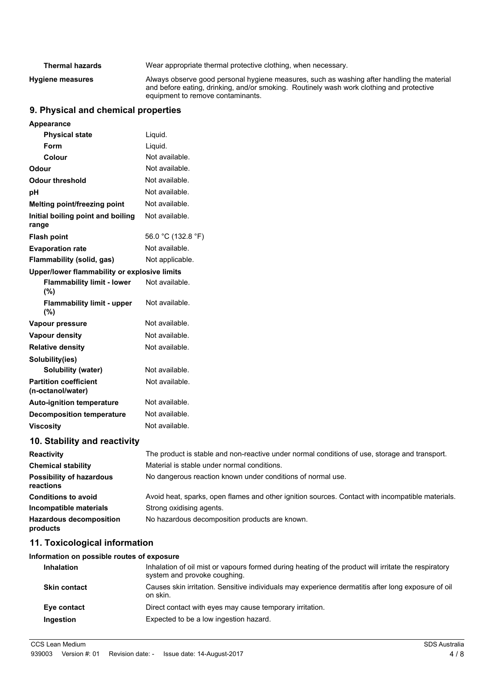| <b>Thermal hazards</b>  | Wear appropriate thermal protective clothing, when necessary.                                                                                                                                                               |
|-------------------------|-----------------------------------------------------------------------------------------------------------------------------------------------------------------------------------------------------------------------------|
| <b>Hygiene measures</b> | Always observe good personal hygiene measures, such as washing after handling the material<br>and before eating, drinking, and/or smoking. Routinely wash work clothing and protective<br>equipment to remove contaminants. |

# **9. Physical and chemical properties**

| Appearance                                        |                                                                                                  |
|---------------------------------------------------|--------------------------------------------------------------------------------------------------|
| <b>Physical state</b>                             | Liquid.                                                                                          |
| Form                                              | Liquid.                                                                                          |
| Colour                                            | Not available.                                                                                   |
| Odour                                             | Not available.                                                                                   |
| <b>Odour threshold</b>                            | Not available.                                                                                   |
| pH                                                | Not available.                                                                                   |
| Melting point/freezing point                      | Not available.                                                                                   |
| Initial boiling point and boiling<br>range        | Not available.                                                                                   |
| <b>Flash point</b>                                | 56.0 °C (132.8 °F)                                                                               |
| <b>Evaporation rate</b>                           | Not available.                                                                                   |
| Flammability (solid, gas)                         | Not applicable.                                                                                  |
| Upper/lower flammability or explosive limits      |                                                                                                  |
| <b>Flammability limit - lower</b><br>(%)          | Not available.                                                                                   |
| <b>Flammability limit - upper</b><br>(%)          | Not available.                                                                                   |
| Vapour pressure                                   | Not available.                                                                                   |
| <b>Vapour density</b>                             | Not available.                                                                                   |
| <b>Relative density</b>                           | Not available.                                                                                   |
| Solubility(ies)                                   |                                                                                                  |
| Solubility (water)                                | Not available.                                                                                   |
| <b>Partition coefficient</b><br>(n-octanol/water) | Not available.                                                                                   |
| <b>Auto-ignition temperature</b>                  | Not available.                                                                                   |
| <b>Decomposition temperature</b>                  | Not available.                                                                                   |
| <b>Viscosity</b>                                  | Not available.                                                                                   |
| 10. Stability and reactivity                      |                                                                                                  |
| <b>Reactivity</b>                                 | The product is stable and non-reactive under normal conditions of use, storage and transport.    |
| <b>Chemical stability</b>                         | Material is stable under normal conditions.                                                      |
| <b>Possibility of hazardous</b><br>reactions      | No dangerous reaction known under conditions of normal use.                                      |
| <b>Conditions to avoid</b>                        | Avoid heat, sparks, open flames and other ignition sources. Contact with incompatible materials. |
| Incompatible materials                            | Strong oxidising agents.                                                                         |
| <b>Hazardous decomposition</b><br>products        | No hazardous decomposition products are known.                                                   |
| 11. Toxicological information                     |                                                                                                  |

#### **Information on possible routes of exposure**

| <b>Inhalation</b>   | Inhalation of oil mist or vapours formed during heating of the product will irritate the respiratory<br>system and provoke coughing. |
|---------------------|--------------------------------------------------------------------------------------------------------------------------------------|
| <b>Skin contact</b> | Causes skin irritation. Sensitive individuals may experience dermatitis after long exposure of oil<br>on skin.                       |
| Eye contact         | Direct contact with eyes may cause temporary irritation.                                                                             |
| <b>Ingestion</b>    | Expected to be a low ingestion hazard.                                                                                               |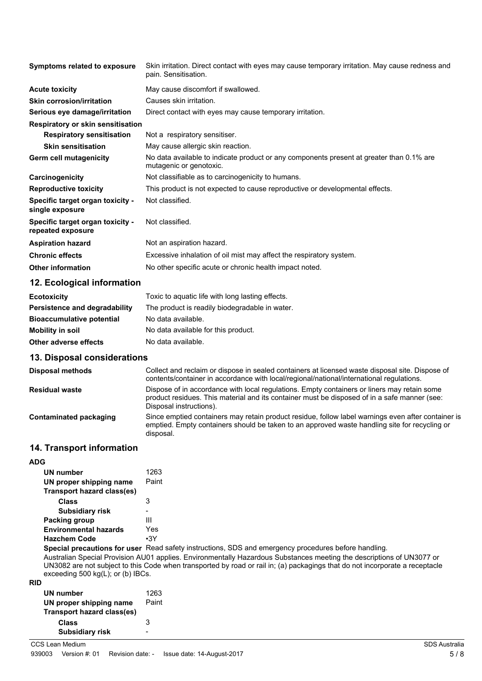| <b>Symptoms related to exposure</b>                   | Skin irritation. Direct contact with eyes may cause temporary irritation. May cause redness and<br>pain. Sensitisation. |  |
|-------------------------------------------------------|-------------------------------------------------------------------------------------------------------------------------|--|
| <b>Acute toxicity</b>                                 | May cause discomfort if swallowed.                                                                                      |  |
| <b>Skin corrosion/irritation</b>                      | Causes skin irritation.                                                                                                 |  |
| Serious eye damage/irritation                         | Direct contact with eyes may cause temporary irritation.                                                                |  |
| <b>Respiratory or skin sensitisation</b>              |                                                                                                                         |  |
| <b>Respiratory sensitisation</b>                      | Not a respiratory sensitiser.                                                                                           |  |
| <b>Skin sensitisation</b>                             | May cause allergic skin reaction.                                                                                       |  |
| Germ cell mutagenicity                                | No data available to indicate product or any components present at greater than 0.1% are<br>mutagenic or genotoxic.     |  |
| Carcinogenicity                                       | Not classifiable as to carcinogenicity to humans.                                                                       |  |
| <b>Reproductive toxicity</b>                          | This product is not expected to cause reproductive or developmental effects.                                            |  |
| Specific target organ toxicity -<br>single exposure   | Not classified.                                                                                                         |  |
| Specific target organ toxicity -<br>repeated exposure | Not classified.                                                                                                         |  |
| <b>Aspiration hazard</b>                              | Not an aspiration hazard.                                                                                               |  |
| <b>Chronic effects</b>                                | Excessive inhalation of oil mist may affect the respiratory system.                                                     |  |
| <b>Other information</b>                              | No other specific acute or chronic health impact noted.                                                                 |  |

# **12. Ecological information**

| <b>Ecotoxicity</b>               | Toxic to aquatic life with long lasting effects. |
|----------------------------------|--------------------------------------------------|
| Persistence and degradability    | The product is readily biodegradable in water.   |
| <b>Bioaccumulative potential</b> | No data available.                               |
| <b>Mobility in soil</b>          | No data available for this product.              |
| Other adverse effects            | No data available.                               |

#### **13. Disposal considerations**

| <b>Disposal methods</b> | Collect and reclaim or dispose in sealed containers at licensed waste disposal site. Dispose of<br>contents/container in accordance with local/regional/national/international regulations.                            |
|-------------------------|------------------------------------------------------------------------------------------------------------------------------------------------------------------------------------------------------------------------|
| <b>Residual waste</b>   | Dispose of in accordance with local regulations. Empty containers or liners may retain some<br>product residues. This material and its container must be disposed of in a safe manner (see:<br>Disposal instructions). |
| Contaminated packaging  | Since emptied containers may retain product residue, follow label warnings even after container is<br>emptied. Empty containers should be taken to an approved waste handling site for recycling or<br>disposal.       |

# **14. Transport information**

| <b>ADG</b>                    |            |
|-------------------------------|------------|
| UN number                     | 1263       |
| UN proper shipping name       | Paint      |
| Transport hazard class(es)    |            |
| Class                         | 3          |
| <b>Subsidiary risk</b>        |            |
| Packing group                 | Ш          |
| <b>Environmental hazards</b>  | Yes        |
| <b>Hazchem Code</b>           | $\cdot$ 3Y |
| Special procesitions for user | Read e     |

**Special precautions for user** Read safety instructions, SDS and emergency procedures before handling. Australian Special Provision AU01 applies. Environmentally Hazardous Substances meeting the descriptions of UN3077 or UN3082 are not subject to this Code when transported by road or rail in; (a) packagings that do not incorporate a receptacle exceeding 500 kg(L); or (b) IBCs.

| UN number                  | 1263  |
|----------------------------|-------|
| UN proper shipping name    | Paint |
| Transport hazard class(es) |       |
| Class                      | 3     |
| <b>Subsidiary risk</b>     |       |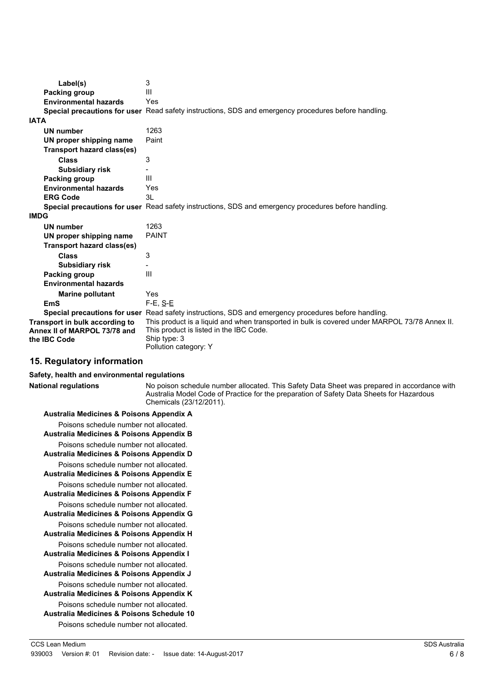| Label(s)                       | 3                                                                                                    |
|--------------------------------|------------------------------------------------------------------------------------------------------|
| Packing group                  | Ш                                                                                                    |
| <b>Environmental hazards</b>   | Yes                                                                                                  |
|                                | Special precautions for user Read safety instructions, SDS and emergency procedures before handling. |
| <b>IATA</b>                    |                                                                                                      |
| UN number                      | 1263                                                                                                 |
| UN proper shipping name        | Paint                                                                                                |
| Transport hazard class(es)     |                                                                                                      |
| <b>Class</b>                   | 3                                                                                                    |
| <b>Subsidiary risk</b>         |                                                                                                      |
| Packing group                  | Ш                                                                                                    |
| <b>Environmental hazards</b>   | Yes                                                                                                  |
| <b>ERG Code</b>                | 31                                                                                                   |
|                                | Special precautions for user Read safety instructions, SDS and emergency procedures before handling. |
| <b>IMDG</b>                    |                                                                                                      |
| UN number                      | 1263                                                                                                 |
| UN proper shipping name        | <b>PAINT</b>                                                                                         |
| Transport hazard class(es)     |                                                                                                      |
| <b>Class</b>                   | 3                                                                                                    |
| <b>Subsidiary risk</b>         |                                                                                                      |
| Packing group                  | Ш                                                                                                    |
| <b>Environmental hazards</b>   |                                                                                                      |
| <b>Marine pollutant</b>        | Yes                                                                                                  |
| <b>EmS</b>                     | $F-E$ , $S-E$                                                                                        |
|                                | Special precautions for user Read safety instructions, SDS and emergency procedures before handling. |
| Transport in bulk according to | This product is a liquid and when transported in bulk is covered under MARPOL 73/78 Annex II.        |
| Annex II of MARPOL 73/78 and   | This product is listed in the IBC Code.                                                              |
| the IBC Code                   | Ship type: 3<br>Pollution category: Y                                                                |

# **15. Regulatory information**

#### **Safety, health and environmental regulations**

**National regulations**

No poison schedule number allocated. This Safety Data Sheet was prepared in accordance with Australia Model Code of Practice for the preparation of Safety Data Sheets for Hazardous Chemicals (23/12/2011).

| <b>Australia Medicines &amp; Poisons Appendix A</b>                                            |
|------------------------------------------------------------------------------------------------|
| Poisons schedule number not allocated.<br>Australia Medicines & Poisons Appendix B             |
| Poisons schedule number not allocated.<br>Australia Medicines & Poisons Appendix D             |
| Poisons schedule number not allocated.<br><b>Australia Medicines &amp; Poisons Appendix E</b>  |
| Poisons schedule number not allocated.<br>Australia Medicines & Poisons Appendix F             |
| Poisons schedule number not allocated.<br><b>Australia Medicines &amp; Poisons Appendix G</b>  |
| Poisons schedule number not allocated.<br><b>Australia Medicines &amp; Poisons Appendix H</b>  |
| Poisons schedule number not allocated.<br><b>Australia Medicines &amp; Poisons Appendix I</b>  |
| Poisons schedule number not allocated.<br>Australia Medicines & Poisons Appendix J             |
| Poisons schedule number not allocated.<br>Australia Medicines & Poisons Appendix K             |
| Poisons schedule number not allocated.<br><b>Australia Medicines &amp; Poisons Schedule 10</b> |
| Poisons schedule number not allocated.                                                         |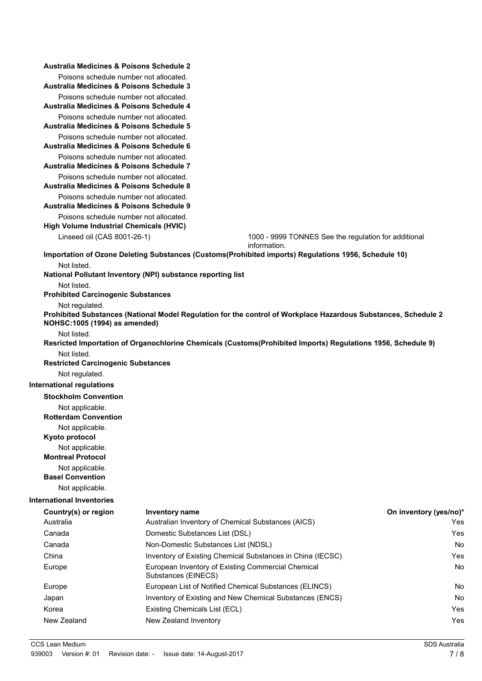| Australia Medicines & Poisons Schedule 2                                                      |                                                                                                                                                                                                                                                                                 |                                                                                                      |                        |  |  |
|-----------------------------------------------------------------------------------------------|---------------------------------------------------------------------------------------------------------------------------------------------------------------------------------------------------------------------------------------------------------------------------------|------------------------------------------------------------------------------------------------------|------------------------|--|--|
| Poisons schedule number not allocated.<br><b>Australia Medicines &amp; Poisons Schedule 3</b> |                                                                                                                                                                                                                                                                                 |                                                                                                      |                        |  |  |
| Poisons schedule number not allocated.                                                        |                                                                                                                                                                                                                                                                                 |                                                                                                      |                        |  |  |
| <b>Australia Medicines &amp; Poisons Schedule 4</b>                                           |                                                                                                                                                                                                                                                                                 |                                                                                                      |                        |  |  |
| Poisons schedule number not allocated.<br>Australia Medicines & Poisons Schedule 5            |                                                                                                                                                                                                                                                                                 |                                                                                                      |                        |  |  |
| Poisons schedule number not allocated.<br><b>Australia Medicines &amp; Poisons Schedule 6</b> |                                                                                                                                                                                                                                                                                 |                                                                                                      |                        |  |  |
| Poisons schedule number not allocated.<br>Australia Medicines & Poisons Schedule 7            |                                                                                                                                                                                                                                                                                 |                                                                                                      |                        |  |  |
| Poisons schedule number not allocated.                                                        |                                                                                                                                                                                                                                                                                 |                                                                                                      |                        |  |  |
| Australia Medicines & Poisons Schedule 8                                                      |                                                                                                                                                                                                                                                                                 |                                                                                                      |                        |  |  |
| Poisons schedule number not allocated.<br>Australia Medicines & Poisons Schedule 9            |                                                                                                                                                                                                                                                                                 |                                                                                                      |                        |  |  |
| Poisons schedule number not allocated.                                                        |                                                                                                                                                                                                                                                                                 |                                                                                                      |                        |  |  |
| High Volume Industrial Chemicals (HVIC)                                                       |                                                                                                                                                                                                                                                                                 |                                                                                                      |                        |  |  |
| Linseed oil (CAS 8001-26-1)                                                                   |                                                                                                                                                                                                                                                                                 | 1000 - 9999 TONNES See the regulation for additional<br>information.                                 |                        |  |  |
|                                                                                               |                                                                                                                                                                                                                                                                                 | Importation of Ozone Deleting Substances (Customs(Prohibited imports) Regulations 1956, Schedule 10) |                        |  |  |
| Not listed.                                                                                   | National Pollutant Inventory (NPI) substance reporting list                                                                                                                                                                                                                     |                                                                                                      |                        |  |  |
| Not listed.                                                                                   |                                                                                                                                                                                                                                                                                 |                                                                                                      |                        |  |  |
| <b>Prohibited Carcinogenic Substances</b>                                                     |                                                                                                                                                                                                                                                                                 |                                                                                                      |                        |  |  |
| Not regulated.                                                                                | Prohibited Substances (National Model Regulation for the control of Workplace Hazardous Substances, Schedule 2<br>NOHSC: 1005 (1994) as amended)<br>Not listed.<br>Resricted Importation of Organochlorine Chemicals (Customs(Prohibited Imports) Regulations 1956, Schedule 9) |                                                                                                      |                        |  |  |
|                                                                                               |                                                                                                                                                                                                                                                                                 |                                                                                                      |                        |  |  |
|                                                                                               |                                                                                                                                                                                                                                                                                 |                                                                                                      |                        |  |  |
| Not listed.                                                                                   |                                                                                                                                                                                                                                                                                 |                                                                                                      |                        |  |  |
| <b>Restricted Carcinogenic Substances</b>                                                     |                                                                                                                                                                                                                                                                                 |                                                                                                      |                        |  |  |
| Not regulated.                                                                                |                                                                                                                                                                                                                                                                                 |                                                                                                      |                        |  |  |
| <b>International regulations</b>                                                              |                                                                                                                                                                                                                                                                                 |                                                                                                      |                        |  |  |
| <b>Stockholm Convention</b>                                                                   |                                                                                                                                                                                                                                                                                 |                                                                                                      |                        |  |  |
| Not applicable.                                                                               |                                                                                                                                                                                                                                                                                 |                                                                                                      |                        |  |  |
| <b>Rotterdam Convention</b>                                                                   |                                                                                                                                                                                                                                                                                 |                                                                                                      |                        |  |  |
| Not applicable.<br>Kyoto protocol                                                             |                                                                                                                                                                                                                                                                                 |                                                                                                      |                        |  |  |
| Not applicable.                                                                               |                                                                                                                                                                                                                                                                                 |                                                                                                      |                        |  |  |
| <b>Montreal Protocol</b>                                                                      |                                                                                                                                                                                                                                                                                 |                                                                                                      |                        |  |  |
| Not applicable.<br><b>Basel Convention</b>                                                    |                                                                                                                                                                                                                                                                                 |                                                                                                      |                        |  |  |
| Not applicable.                                                                               |                                                                                                                                                                                                                                                                                 |                                                                                                      |                        |  |  |
| <b>International Inventories</b>                                                              |                                                                                                                                                                                                                                                                                 |                                                                                                      |                        |  |  |
| Country(s) or region                                                                          | <b>Inventory name</b>                                                                                                                                                                                                                                                           |                                                                                                      | On inventory (yes/no)* |  |  |
| Australia                                                                                     |                                                                                                                                                                                                                                                                                 | Australian Inventory of Chemical Substances (AICS)                                                   | Yes                    |  |  |
| Canada                                                                                        | Domestic Substances List (DSL)                                                                                                                                                                                                                                                  |                                                                                                      | Yes                    |  |  |
| Canada                                                                                        | Non-Domestic Substances List (NDSL)                                                                                                                                                                                                                                             |                                                                                                      | No                     |  |  |
| China                                                                                         |                                                                                                                                                                                                                                                                                 | Inventory of Existing Chemical Substances in China (IECSC)                                           | Yes                    |  |  |
| Europe                                                                                        | Substances (EINECS)                                                                                                                                                                                                                                                             | European Inventory of Existing Commercial Chemical                                                   | No                     |  |  |
| Europe                                                                                        |                                                                                                                                                                                                                                                                                 | European List of Notified Chemical Substances (ELINCS)                                               | No                     |  |  |
| Japan                                                                                         |                                                                                                                                                                                                                                                                                 | Inventory of Existing and New Chemical Substances (ENCS)                                             | No                     |  |  |
| Korea                                                                                         | Existing Chemicals List (ECL)                                                                                                                                                                                                                                                   |                                                                                                      | Yes                    |  |  |
| New Zealand                                                                                   | New Zealand Inventory                                                                                                                                                                                                                                                           |                                                                                                      | Yes                    |  |  |
|                                                                                               |                                                                                                                                                                                                                                                                                 |                                                                                                      |                        |  |  |
| CCS Lean Medium                                                                               |                                                                                                                                                                                                                                                                                 |                                                                                                      | <b>SDS Australia</b>   |  |  |